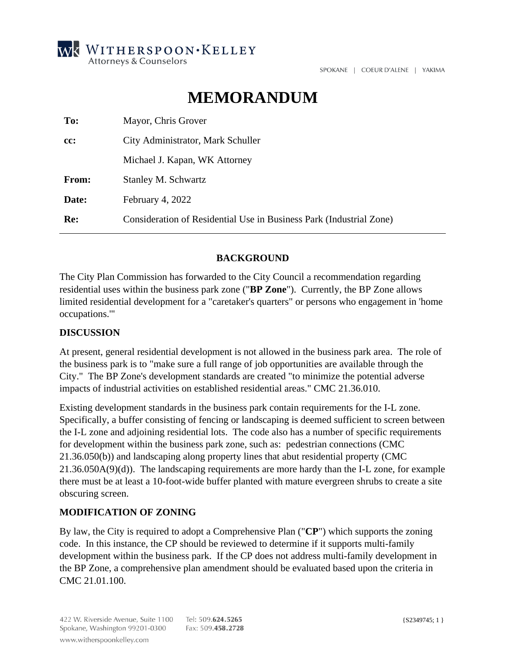

SPOKANE | COEUR D'ALENE | YAKIMA

# **MEMORANDUM**

| To:   | Mayor, Chris Grover                                                 |
|-------|---------------------------------------------------------------------|
| cc:   | City Administrator, Mark Schuller                                   |
|       | Michael J. Kapan, WK Attorney                                       |
| From: | Stanley M. Schwartz                                                 |
| Date: | February 4, 2022                                                    |
| Re:   | Consideration of Residential Use in Business Park (Industrial Zone) |

### **BACKGROUND**

The City Plan Commission has forwarded to the City Council a recommendation regarding residential uses within the business park zone ("**BP Zone**"). Currently, the BP Zone allows limited residential development for a "caretaker's quarters" or persons who engagement in 'home occupations.'"

#### **DISCUSSION**

At present, general residential development is not allowed in the business park area. The role of the business park is to "make sure a full range of job opportunities are available through the City." The BP Zone's development standards are created "to minimize the potential adverse impacts of industrial activities on established residential areas." CMC 21.36.010.

Existing development standards in the business park contain requirements for the I-L zone. Specifically, a buffer consisting of fencing or landscaping is deemed sufficient to screen between the I-L zone and adjoining residential lots. The code also has a number of specific requirements for development within the business park zone, such as: pedestrian connections (CMC 21.36.050(b)) and landscaping along property lines that abut residential property (CMC 21.36.050A(9)(d)). The landscaping requirements are more hardy than the I-L zone, for example there must be at least a 10-foot-wide buffer planted with mature evergreen shrubs to create a site obscuring screen.

#### **MODIFICATION OF ZONING**

By law, the City is required to adopt a Comprehensive Plan ("**CP**") which supports the zoning code. In this instance, the CP should be reviewed to determine if it supports multi-family development within the business park. If the CP does not address multi-family development in the BP Zone, a comprehensive plan amendment should be evaluated based upon the criteria in CMC 21.01.100.